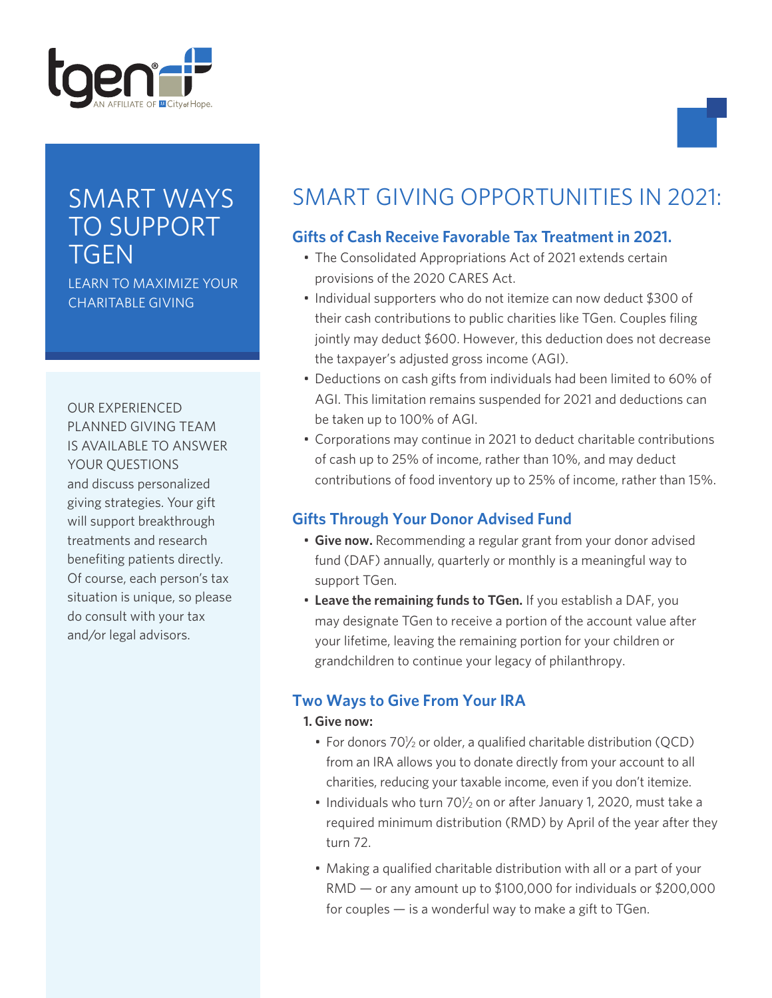

# SMART WAYS TO SUPPORT **TGEN**

LEARN TO MAXIMIZE YOUR CHARITABLE GIVING

OUR EXPERIENCED PLANNED GIVING TEAM IS AVAILABLE TO ANSWER YOUR QUESTIONS and discuss personalized giving strategies. Your gift will support breakthrough treatments and research benefiting patients directly. Of course, each person's tax situation is unique, so please do consult with your tax and/or legal advisors.

# SMART GIVING OPPORTUNITIES IN 2021:

# **Gifts of Cash Receive Favorable Tax Treatment in 2021.**

- The Consolidated Appropriations Act of 2021 extends certain provisions of the 2020 CARES Act.
- Individual supporters who do not itemize can now deduct \$300 of their cash contributions to public charities like TGen. Couples filing jointly may deduct \$600. However, this deduction does not decrease the taxpayer's adjusted gross income (AGI).
- Deductions on cash gifts from individuals had been limited to 60% of AGI. This limitation remains suspended for 2021 and deductions can be taken up to 100% of AGI.
- Corporations may continue in 2021 to deduct charitable contributions of cash up to 25% of income, rather than 10%, and may deduct contributions of food inventory up to 25% of income, rather than 15%.

# **Gifts Through Your Donor Advised Fund**

- **Give now.** Recommending a regular grant from your donor advised fund (DAF) annually, quarterly or monthly is a meaningful way to support TGen.
- **Leave the remaining funds to TGen.** If you establish a DAF, you may designate TGen to receive a portion of the account value after your lifetime, leaving the remaining portion for your children or grandchildren to continue your legacy of philanthropy.

# **Two Ways to Give From Your IRA**

#### **1. Give now:**

- For donors 70<sup>1</sup>/<sub>2</sub> or older, a qualified charitable distribution (QCD) from an IRA allows you to donate directly from your account to all charities, reducing your taxable income, even if you don't itemize.
- $\cdot$  Individuals who turn 70 $\frac{1}{2}$  on or after January 1, 2020, must take a required minimum distribution (RMD) by April of the year after they turn 72.
- Making a qualified charitable distribution with all or a part of your RMD — or any amount up to \$100,000 for individuals or \$200,000 for couples  $-$  is a wonderful way to make a gift to TGen.